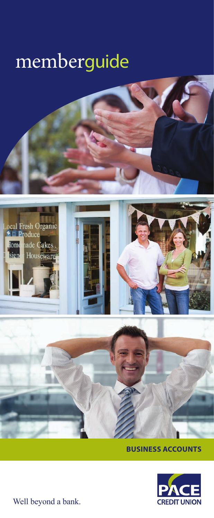# memberguide







**BUSINESS ACCOUNTS**



Well beyond a bank.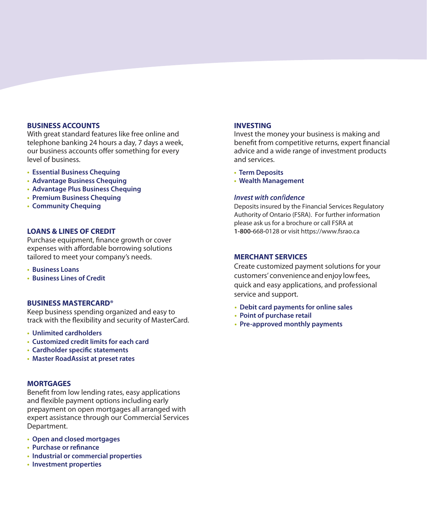#### **BUSINESS ACCOUNTS**

With great standard features like free online and telephone banking 24 hours a day, 7 days a week, our business accounts offer something for every level of business.

- **• Essential Business Chequing**
- **• Advantage Business Chequing**
- **• Advantage Plus Business Chequing**
- **• Premium Business Chequing**
- **• Community Chequing**

#### **LOANS & LINES OF CREDIT**

Purchase equipment, finance growth or cover expenses with affordable borrowing solutions tailored to meet your company's needs.

- **• Business Loans**
- **• Business Lines of Credit**

#### **BUSINESS MASTERCARD®**

Keep business spending organized and easy to track with the flexibility and security of MasterCard.

- **• Unlimited cardholders**
- **• Customized credit limits for each card**
- **• Cardholder specific statements**
- **• Master RoadAssist at preset rates**

#### **MORTGAGES**

Benefit from low lending rates, easy applications and flexible payment options including early prepayment on open mortgages all arranged with expert assistance through our Commercial Services Department.

- **• Open and closed mortgages**
- **• Purchase or refinance**
- **• Industrial or commercial properties**
- **• Investment properties**

#### **INVESTING**

Invest the money your business is making and benefit from competitive returns, expert financial advice and a wide range of investment products and services.

- **• Term Deposits**
- **• Wealth Management**

#### *Invest with con*f*idence*

Deposits insured by the Financial Services Regulatory Authority of Ontario (FSRA). For further information please ask us for a brochure or call FSRA at **1-800-**668**-**0128 or visit https://www.fsrao.ca

#### **MERCHANT SERVICES**

Create customized payment solutions for your customers' convenience and enjoy low fees, quick and easy applications, and professional service and support.

- **• Debit card payments for online sales**
- **• Point of purchase retail**
- **• Pre-approved monthly payments**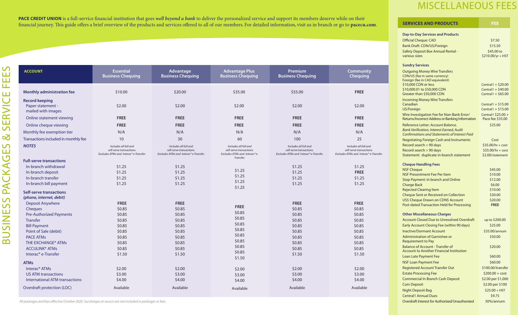**PACE CREDIT UNION** is a full-service financial institution that goes *well beyond a bank* to deliver the personalized service and support its members deserve while on their financial journey. This guide offers a brief overview of the products and services offered to all of our members. For detailed information, visit us in branch or go to **pacecu.com**.

| <b>ACCOUNT</b>                                                                                                                                                                                                                                    | <b>Essential</b><br><b>Business Chequing</b>                                                          | Advantage<br><b>Business Chequing</b>                                                                 | <b>Advantage Plus</b><br><b>Business Chequing</b>                                                     | <b>Premium</b><br><b>Business Chequing</b>                                                            | <b>Community</b><br><b>Chequing</b>                                                                   |
|---------------------------------------------------------------------------------------------------------------------------------------------------------------------------------------------------------------------------------------------------|-------------------------------------------------------------------------------------------------------|-------------------------------------------------------------------------------------------------------|-------------------------------------------------------------------------------------------------------|-------------------------------------------------------------------------------------------------------|-------------------------------------------------------------------------------------------------------|
| <b>Monthly administration fee</b>                                                                                                                                                                                                                 | \$10.00                                                                                               | \$20.00                                                                                               | \$35.00                                                                                               | \$55.00                                                                                               | <b>FREE</b>                                                                                           |
| <b>Record keeping</b><br>Paper statement -<br>mailed with images                                                                                                                                                                                  | \$2.00                                                                                                | \$2.00                                                                                                | \$2.00                                                                                                | \$2.00                                                                                                | \$2.00                                                                                                |
| Online statement viewing                                                                                                                                                                                                                          | <b>FREE</b>                                                                                           | <b>FREE</b>                                                                                           | <b>FREE</b>                                                                                           | <b>FREE</b>                                                                                           | <b>FREE</b>                                                                                           |
| Online cheque viewing                                                                                                                                                                                                                             | <b>FREE</b>                                                                                           | <b>FREE</b>                                                                                           | <b>FREE</b>                                                                                           | <b>FREE</b>                                                                                           | <b>FREE</b>                                                                                           |
| Monthly fee exemption tier                                                                                                                                                                                                                        | N/A                                                                                                   | N/A                                                                                                   | N/A                                                                                                   | N/A                                                                                                   | N/A                                                                                                   |
| Transactions included in monthly fee                                                                                                                                                                                                              | 10                                                                                                    | 30                                                                                                    | 60                                                                                                    | 100                                                                                                   | 25                                                                                                    |
| <b>NOTES</b>                                                                                                                                                                                                                                      | Includes all full and<br>self-serve transactions.<br>Excludes ATMs and Interac® e-Transfer.           | Includes all full and<br>self-serve transactions.<br>Excludes ATMs and Interac® e-Transfer.           | Includes all full and<br>self-serve transactions.<br>Excludes ATMs and Interac®e-                     | Includes all full and<br>self-serve transactions.<br>Excludes ATMs and Interac®e-Transfer.            | Includes all full and<br>self-serve transactions.<br>Excludes ATMs and Interac® e-Transfer.           |
| <b>Full-serve transactions</b>                                                                                                                                                                                                                    |                                                                                                       |                                                                                                       | Transfer.                                                                                             |                                                                                                       |                                                                                                       |
| In-branch withdrawal<br>In-branch deposit<br>In-branch transfer<br>In-branch bill payment                                                                                                                                                         | \$1.25<br>\$1.25<br>\$1.25<br>\$1.25                                                                  | \$1.25<br>\$1.25<br>\$1.25<br>\$1.25                                                                  | \$1.25<br>\$1.25<br>\$1.25                                                                            | \$1.25<br>\$1.25<br>\$1.25<br>\$1.25                                                                  | \$1.25<br><b>FREE</b><br>\$1.25<br>\$1.25                                                             |
| Self-serve transactions<br>(phone, internet, debit)                                                                                                                                                                                               |                                                                                                       |                                                                                                       | \$1.25                                                                                                |                                                                                                       |                                                                                                       |
| <b>Deposit Anywhere</b><br>Cheques<br><b>Pre-Authorized Payments</b><br>Transfer<br><b>Bill Payment</b><br>Point of Sale (debit)<br><b>PACE ATMs</b><br>THE EXCHANGE® ATMs<br><b>ACCULINK<sup>®</sup> ATMs</b><br>Interac <sup>®</sup> e-Transfer | <b>FREE</b><br>\$0.85<br>\$0.85<br>\$0.85<br>\$0.85<br>\$0.85<br>\$0.85<br>\$0.85<br>\$0.85<br>\$1.50 | <b>FREE</b><br>\$0.85<br>\$0.85<br>\$0.85<br>\$0.85<br>\$0.85<br>\$0.85<br>\$0.85<br>\$0.85<br>\$1.50 | <b>FREE</b><br>\$0.85<br>\$0.85<br>\$0.85<br>\$0.85<br>\$0.85<br>\$0.85<br>\$0.85<br>\$0.85<br>\$1.50 | <b>FREE</b><br>\$0.85<br>\$0.85<br>\$0.85<br>\$0.85<br>\$0.85<br>\$0.85<br>\$0.85<br>\$0.85<br>\$1.50 | <b>FREE</b><br>\$0.85<br>\$0.85<br>\$0.85<br>\$0.85<br>\$0.85<br>\$0.85<br>\$0.85<br>\$0.85<br>\$1.50 |
| <b>ATMs</b><br>Interac <sup>®</sup> ATMs<br><b>US ATM transactions</b><br>International ATM transactions<br>Overdraft protection (LOC)                                                                                                            | \$2.00<br>\$3.00<br>\$4.00<br>Available                                                               | \$2.00<br>\$3.00<br>\$4.00<br>Available                                                               | \$2.00<br>\$3.00<br>\$4.00<br>Available                                                               | \$2.00<br>\$3.00<br>\$4.00<br>Available                                                               | \$2.00<br>\$3.00<br>\$4.00<br>Available                                                               |

## MISCELLANEOUS FEES

| <b>SERVICES AND PRODUCTS</b>                                                                             | FEE                                         |
|----------------------------------------------------------------------------------------------------------|---------------------------------------------|
| <b>Day-to-Day Services and Products</b>                                                                  |                                             |
| <b>Official Cheque: CAD</b>                                                                              | \$7.50                                      |
| Bank Draft: CDN/US/Foreign                                                                               | \$15.50                                     |
| Safety Deposit Box Annual Rental -                                                                       | \$45.00 to                                  |
| various sizes                                                                                            | \$210.00/yr + HST                           |
|                                                                                                          |                                             |
| <b>Sundry Services</b>                                                                                   |                                             |
| <b>Outgoing Money Wire Transfers</b>                                                                     |                                             |
| CDN/US (fee in same currency)<br>Foreign (fee in CAD equivalent)                                         |                                             |
| \$10,000 CDN or less                                                                                     | Central1 + $$20.00$                         |
| \$10,000.01 to \$50,000 CDN                                                                              | Central1 + $$40.00$                         |
| Greater than \$50,000 CDN                                                                                | Central1 + $$65.00$                         |
| <b>Incoming Money Wire Transfers</b>                                                                     |                                             |
| Canadian<br>US/Foreign                                                                                   | Central1 + $$15.00$<br>Central $1 + $15.00$ |
| Wire Investigation Fee for Non-Bank Error/                                                               | Central1 \$25.00 +                          |
| Returns/Incorrect Address or Banking Information                                                         | Pace fee \$35.00                            |
| Reference Letter: Account Balance,                                                                       | \$25.00                                     |
| <b>Bank Verification, Interest Earned, Audit</b><br><b>Confirmations and Statements of Interest Paid</b> |                                             |
|                                                                                                          | Cost                                        |
| <b>Negotiating Foreign Cash and Instruments</b><br>Record search < 90 days                               | $$35.00/hr + cost$                          |
| Record search > 90 days                                                                                  | $$35.00/hr + cost$                          |
| Statement: duplicate in-branch statement                                                                 | \$2.00/statement                            |
|                                                                                                          |                                             |
| <b>Cheque Handling Fees</b>                                                                              |                                             |
| <b>NSF Cheque</b><br><b>NSF Presentment Fee Per Item</b>                                                 | \$45.00<br>\$10.00                          |
| Stop Payment: In branch and Online                                                                       | \$12.00                                     |
| <b>Charge Back</b>                                                                                       | \$6.00                                      |
| <b>Rejected Clearing Item</b>                                                                            | \$10.00                                     |
| <b>Cheque Sent or Received on Collection</b>                                                             | \$30.00                                     |
| US\$ Cheque Drawn on CDN\$ Account                                                                       | \$20.00                                     |
| Post-dated Transaction Held for Processing                                                               | <b>FREE</b>                                 |
| <b>Other Miscellaneous Charges</b>                                                                       |                                             |
| <b>Account Closed Due to Unresolved Overdraft</b>                                                        | up to \$200.00                              |
| Early Account Closing Fee (within 90 days)                                                               | \$25.00                                     |
| <b>Inactive/Dormant Account</b>                                                                          | \$35.00/annum                               |
| Administration of Garnishee or                                                                           | \$50.00                                     |
| <b>Requirement to Pay</b>                                                                                |                                             |
| <b>Balance of Account - Transfer of</b><br><b>Account to Another Financial Institution</b>               | \$20.00                                     |
| Loan Late Payment Fee                                                                                    | \$60.00                                     |
| <b>NSF Loan Payment Fee</b>                                                                              | \$60.00                                     |
| <b>Registered Account Transfer Out</b>                                                                   | \$100.00/transfer                           |
| <b>Estate Processing Fee</b>                                                                             | $$200.00 + cost$                            |
| <b>Commercial In Branch Cash Deposit</b>                                                                 | \$2.00 per \$1,000                          |
| <b>Coin Deposit</b>                                                                                      | \$2.00 per \$100                            |
| <b>Night Deposit Bag</b>                                                                                 | $$25.00 + HST$                              |
| <b>Central1 Annual Dues</b>                                                                              | \$9.75                                      |
| Overdraft Interest for Authorized/Unauthorized                                                           | 30%/annum                                   |
|                                                                                                          |                                             |